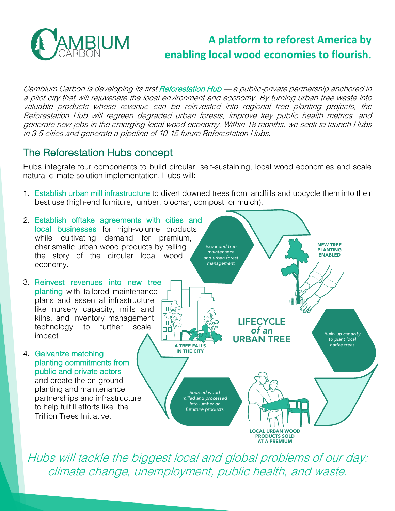

# **A platform to reforest America by enabling local wood economies to flourish.**

Cambium Carbon is developing its first Reforestation Hub — a public-private partnership anchored in a pilot city that will rejuvenate the local environment and economy. By turning urban tree waste into valuable products whose revenue can be reinvested into regional tree planting projects, the Reforestation Hub will regreen degraded urban forests, improve key public health metrics, and generate new jobs in the emerging local wood economy. Within 18 months, we seek to launch Hubs in 3-5 cities and generate a pipeline of 10-15 future Reforestation Hubs.

### The Reforestation Hubs concept

Hubs integrate four components to build circular, self-sustaining, local wood economies and scale natural climate solution implementation. Hubs will:

1. Establish urban mill infrastructure to divert downed trees from landfills and upcycle them into their best use (high-end furniture, lumber, biochar, compost, or mulch).



Hubs will tackle the biggest local and global problems of our day: climate change, unemployment, public health, and waste.